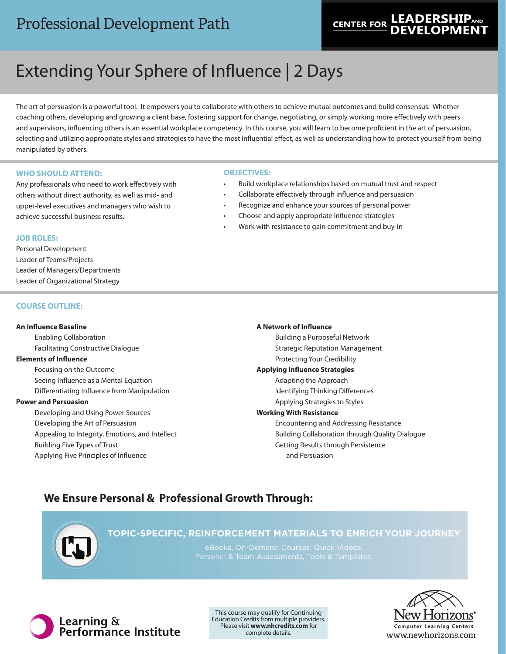## Professional Development Path

## **LEADERSHIPAND CENTER FOR**

# Extending Your Sphere of Influence | 2 Days

The art of persuasion is a powerful tool. It empowers you to collaborate with others to achieve mutual outcomes and build consensus. Whether coaching others, developing and growing a client base, fostering support for change, negotiating, or simply working more effectively with peers and supervisors, influencing others is an essential workplace competency. In this course, you will learn to become proficient in the art of persuasion, selecting and utilizing appropriate styles and strategies to have the most influential effect, as well as understanding how to protect yourself from being manipulated by others.

#### **WHO SHOULD ATTEND:**

Any professionals who need to work effectively with others without direct authority, as well as mid- and upper-level executives and managers who wish to achieve successful business results.

#### **OBJECTIVES:**

- Build workplace relationships based on mutual trust and respect
- Collaborate effectively through influence and persuasion
- Recognize and enhance your sources of personal power
	- Choose and apply appropriate influence strategies
- Work with resistance to gain commitment and buy-in

#### **JOB ROLES:**

Personal Development Leader of Teams/Projects Leader of Managers/Departments Leader of Organizational Strategy

#### **COURSE OUTLINE:**

#### **An Influence Baseline**

Enabling Collaboration Facilitating Constructive Dialogue

#### **Elements of Influence**

Focusing on the Outcome Seeing Influence as a Mental Equation Differentiating Influence from Manipulation

#### **Power and Persuasion**

Developing and Using Power Sources Developing the Art of Persuasion Appealing to Integrity, Emotions, and Intellect Building Five Types of Trust Applying Five Principles of Influence

### **A Network of Influence** Building a Purposeful Network Strategic Reputation Management Protecting Your Credibility **Applying Influence Strategies** Adapting the Approach Identifying Thinking Differences Applying Strategies to Styles **Working With Resistance** Encountering and Addressing Resistance

Building Collaboration through Quality Dialogue Getting Results through Persistence and Persuasion

## **We Ensure Personal & Professional Growth Through:**



TOPIC-SPECIFIC, REINFORCEMENT MATERIALS TO ENRICH YOUR JOURNEY

eBooks, On-Demand Courses, Quick Videos



This course may qualify for Continuing Education Credits from multiple providers. Please visit **www.nhcredits.com** for